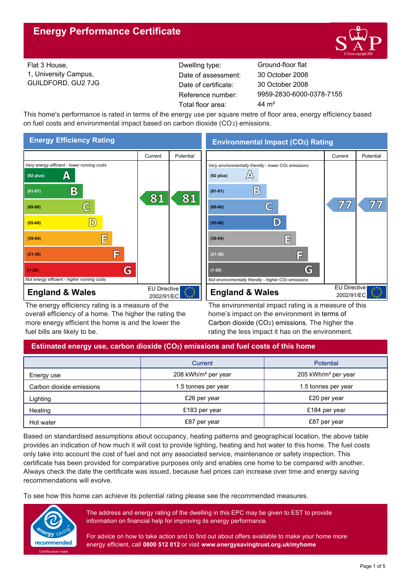

Flat 3 House, 1, University Campus, GUILDFORD, GU2 7JG Reference number: Dwelling type: Ground-floor flat Date of certificate: Total floor area: 44 m<sup>2</sup> Date of assessment:

9959-2830-6000-0378-7155 30 October 2008 30 October 2008

This home's performance is rated in terms of the energy use per square metre of floor area, energy efficiency based on fuel costs and environmental impact based on carbon dioxide (CO2) emissions.



The energy efficiency rating is a measure of the overall efficiency of a home. The higher the rating the more energy efficient the home is and the lower the fuel bills are likely to be.

The environmental impact rating is a measure of this home's impact on the environment in terms of Carbon dioxide (CO2) emissions. The higher the rating the less impact it has on the environment.

# **Estimated energy use, carbon dioxide (CO2) emissions and fuel costs of this home**

|                          | Current                         | Potential                       |  |
|--------------------------|---------------------------------|---------------------------------|--|
| Energy use               | 208 kWh/m <sup>2</sup> per year | 205 kWh/m <sup>2</sup> per year |  |
| Carbon dioxide emissions | 1.5 tonnes per year             | 1.5 tonnes per year             |  |
| Lighting                 | £26 per year                    | £20 per year                    |  |
| Heating                  | £183 per year                   | £184 per year                   |  |
| Hot water                | £87 per year                    | £87 per year                    |  |

Based on standardised assumptions about occupancy, heating patterns and geographical location, the above table provides an indication of how much it will cost to provide lighting, heating and hot water to this home. The fuel costs only take into account the cost of fuel and not any associated service, maintenance or safety inspection. This certificate has been provided for comparative purposes only and enables one home to be compared with another. Always check the date the certificate was issued, because fuel prices can increase over time and energy saving recommendations will evolve.

To see how this home can achieve its potential rating please see the recommended measures.



The address and energy rating of the dwelling in this EPC may be given to EST to provide information on financial help for improving its energy performance.

For advice on how to take action and to find out about offers available to make your home more energy efficient, call **0800 512 012** or visit **www.energysavingtrust.org.uk/myhome**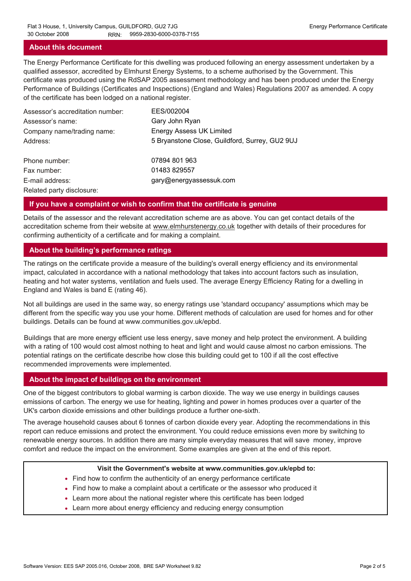#### **About this document**

The Energy Performance Certificate for this dwelling was produced following an energy assessment undertaken by a qualified assessor, accredited by Elmhurst Energy Systems, to a scheme authorised by the Government. This certificate was produced using the RdSAP 2005 assessment methodology and has been produced under the Energy Performance of Buildings (Certificates and Inspections) (England and Wales) Regulations 2007 as amended. A copy of the certificate has been lodged on a national register.

| Assessor's accreditation number: | EES/002004                                     |
|----------------------------------|------------------------------------------------|
| Assessor's name:                 | Gary John Ryan                                 |
| Company name/trading name:       | <b>Energy Assess UK Limited</b>                |
| Address:                         | 5 Bryanstone Close, Guildford, Surrey, GU2 9UJ |
| Phone number:                    | 07894 801 963                                  |
| Fax number:                      | 01483 829557                                   |
| E-mail address:                  | gary@energyassessuk.com                        |
| Related party disclosure:        |                                                |

#### **If you have a complaint or wish to confirm that the certificate is genuine**

Details of the assessor and the relevant accreditation scheme are as above. You can get contact details of the accreditation scheme from their website at www.elmhurstenergy.co.uk together with details of their procedures for confirming authenticity of a certificate and for making a complaint.

#### **About the building's performance ratings**

The ratings on the certificate provide a measure of the building's overall energy efficiency and its environmental impact, calculated in accordance with a national methodology that takes into account factors such as insulation, heating and hot water systems, ventilation and fuels used. The average Energy Efficiency Rating for a dwelling in England and Wales is band E (rating 46).

Not all buildings are used in the same way, so energy ratings use 'standard occupancy' assumptions which may be different from the specific way you use your home. Different methods of calculation are used for homes and for other buildings. Details can be found at www.communities.gov.uk/epbd.

Buildings that are more energy efficient use less energy, save money and help protect the environment. A building with a rating of 100 would cost almost nothing to heat and light and would cause almost no carbon emissions. The potential ratings on the certificate describe how close this building could get to 100 if all the cost effective recommended improvements were implemented.

#### **About the impact of buildings on the environment**

One of the biggest contributors to global warming is carbon dioxide. The way we use energy in buildings causes emissions of carbon. The energy we use for heating, lighting and power in homes produces over a quarter of the UK's carbon dioxide emissions and other buildings produce a further one-sixth.

The average household causes about 6 tonnes of carbon dioxide every year. Adopting the recommendations in this report can reduce emissions and protect the environment. You could reduce emissions even more by switching to renewable energy sources. In addition there are many simple everyday measures that will save money, improve comfort and reduce the impact on the environment. Some examples are given at the end of this report.

#### **Visit the Government's website at www.communities.gov.uk/epbd to:**

- Find how to confirm the authenticity of an energy performance certificate
- Find how to make a complaint about a certificate or the assessor who produced it •
- Learn more about the national register where this certificate has been lodged •
- Learn more about energy efficiency and reducing energy consumption •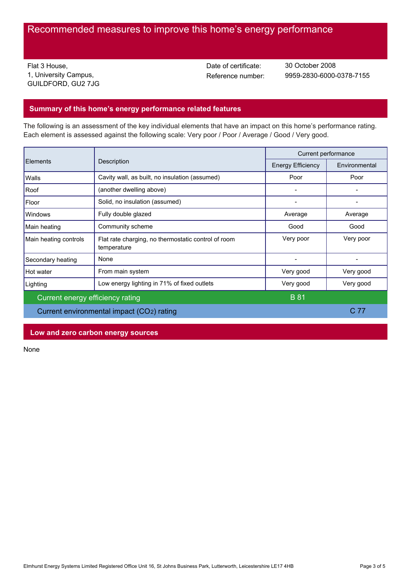# Recommended measures to improve this home's energy performance

Flat 3 House, 1, University Campus, GUILDFORD, GU2 7JG Date of certificate:

Reference number: 9959-2830-6000-0378-7155 30 October 2008

# **Summary of this home's energy performance related features**

The following is an assessment of the key individual elements that have an impact on this home's performance rating. Each element is assessed against the following scale: Very poor / Poor / Average / Good / Very good.

| Description<br>Elements          |                                                                    | Current performance |           |
|----------------------------------|--------------------------------------------------------------------|---------------------|-----------|
|                                  | <b>Energy Efficiency</b>                                           | Environmental       |           |
| Walls                            | Cavity wall, as built, no insulation (assumed)                     | Poor                | Poor      |
| Roof                             | (another dwelling above)                                           |                     |           |
| Floor                            | Solid, no insulation (assumed)                                     |                     |           |
| Windows                          | Fully double glazed                                                | Average             | Average   |
| Main heating                     | Community scheme                                                   | Good                | Good      |
| Main heating controls            | Flat rate charging, no thermostatic control of room<br>temperature | Very poor           | Very poor |
| Secondary heating                | None                                                               |                     |           |
| Hot water                        | From main system                                                   | Very good           | Very good |
| Lighting                         | Low energy lighting in 71% of fixed outlets                        | Very good           | Very good |
| Current energy efficiency rating |                                                                    | <b>B</b> 81         |           |
|                                  | Current environmental impact (CO2) rating                          |                     | C 77      |

**Low and zero carbon energy sources**

None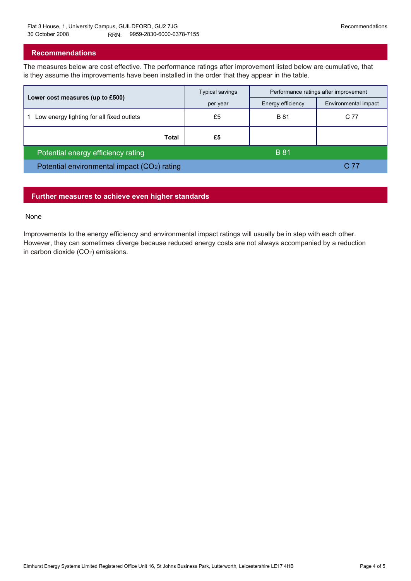### **Recommendations**

The measures below are cost effective. The performance ratings after improvement listed below are cumulative, that is they assume the improvements have been installed in the order that they appear in the table.

|                                             | Typical savings | Performance ratings after improvement |                      |
|---------------------------------------------|-----------------|---------------------------------------|----------------------|
| Lower cost measures (up to £500)            | per year        | Energy efficiency                     | Environmental impact |
| Low energy lighting for all fixed outlets   | £5              | <b>B</b> 81                           | C 77                 |
| Total                                       | £5              |                                       |                      |
| Potential energy efficiency rating          |                 | <b>B</b> 81                           |                      |
| Potential environmental impact (CO2) rating |                 |                                       | C 77                 |

# **Further measures to achieve even higher standards**

#### None

Improvements to the energy efficiency and environmental impact ratings will usually be in step with each other. However, they can sometimes diverge because reduced energy costs are not always accompanied by a reduction in carbon dioxide (CO2) emissions.